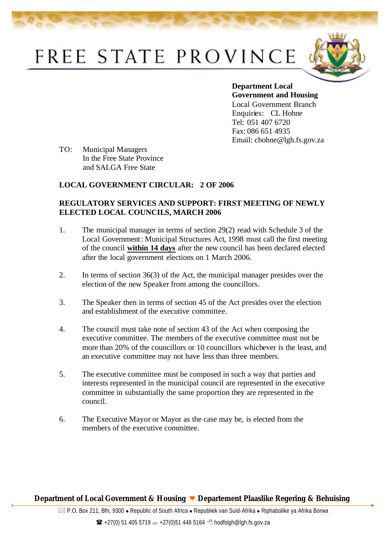## FREE STATE PROVINCE



**Department Local Government and Housing**  Local Government Branch Enquiries: CL Hohne Tel: 051 407 6720 Fax: 086 651 4935 Email: chohne@lgh.fs.gov.za

TO: Municipal Managers In the Free State Province and SALGA Free State

## **LOCAL GOVERNMENT CIRCULAR: 2 OF 2006**

## **REGULATORY SERVICES AND SUPPORT: FIRST MEETING OF NEWLY ELECTED LOCAL COUNCILS, MARCH 2006**

- 1. The municipal manager in terms of section 29(2) read with Schedule 3 of the Local Government: Municipal Structures Act, 1998 must call the first meeting of the council **within 14 days** after the new council has been declared elected after the local government elections on 1 March 2006.
- 2. In terms of section 36(3) of the Act, the municipal manager presides over the election of the new Speaker from among the councillors.
- 3. The Speaker then in terms of section 45 of the Act presides over the election and establishment of the executive committee.
- 4. The council must take note of section 43 of the Act when composing the executive committee. The members of the executive committee must not be more than 20% of the councillors or 10 councillors whichever is the least, and an executive committee may not have less than three members.
- 5. The executive committee must be composed in such a way that parties and interests represented in the municipal council are represented in the executive committee in substantially the same proportion they are represented in the council.
- 6. The Executive Mayor or Mayor as the case may be, is elected from the members of the executive committee.

## **Department of Local Government & Housing Departement Plaaslike Regering & Behuising**

 $\boxtimes$  P.O. Box 211, Bfn, 9300 • Republic of South Africa • Republiek van Suid-Afrika • Riphabolike ya Afrika Borwa